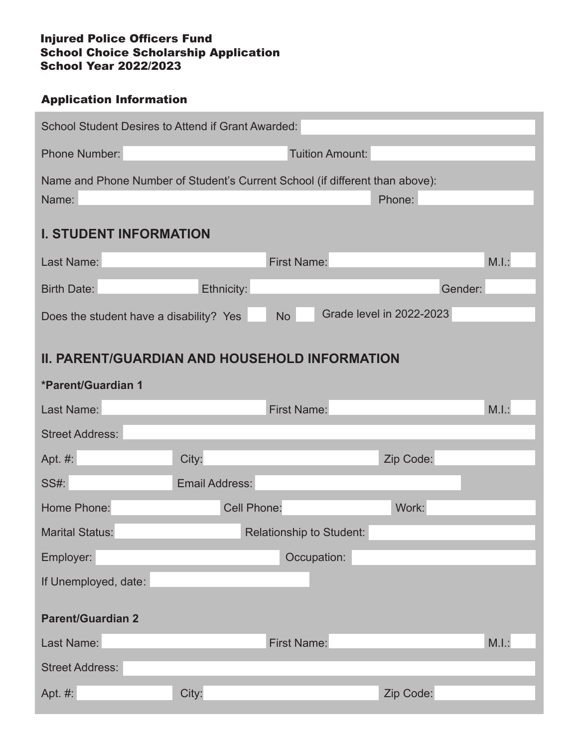## Injured Police Officers Fund School Choice Scholarship Application School Year 2022/2023

## Application Information

| <b>School Student Desires to Attend if Grant Awarded:</b>                    |                    |                                 |                                 |       |  |
|------------------------------------------------------------------------------|--------------------|---------------------------------|---------------------------------|-------|--|
| Phone Number:                                                                |                    | Tuition Amount:                 |                                 |       |  |
| Name and Phone Number of Student's Current School (if different than above): |                    |                                 |                                 |       |  |
| Name:                                                                        |                    |                                 | Phone:                          |       |  |
| <b>I. STUDENT INFORMATION</b>                                                |                    |                                 |                                 |       |  |
| Last Name:                                                                   |                    | <b>First Name:</b>              |                                 | M.I.: |  |
| <b>Birth Date:</b>                                                           | Ethnicity:         |                                 | Gender:                         |       |  |
| Does the student have a disability? Yes                                      |                    | <b>No</b>                       | <b>Grade level in 2022-2023</b> |       |  |
|                                                                              |                    |                                 |                                 |       |  |
| <b>II. PARENT/GUARDIAN AND HOUSEHOLD INFORMATION</b>                         |                    |                                 |                                 |       |  |
| <b>*Parent/Guardian 1</b>                                                    |                    |                                 |                                 |       |  |
| Last Name:                                                                   |                    | <b>First Name:</b>              |                                 | M.I.: |  |
| <b>Street Address:</b>                                                       |                    |                                 |                                 |       |  |
| Apt. #:                                                                      | City:              |                                 | Zip Code:                       |       |  |
| <b>SS#:</b>                                                                  | Email Address:     |                                 |                                 |       |  |
| Home Phone:                                                                  | <b>Cell Phone:</b> |                                 | Work:                           |       |  |
| <b>Marital Status:</b>                                                       |                    | <b>Relationship to Student:</b> |                                 |       |  |
| Employer:                                                                    |                    | Occupation:                     |                                 |       |  |
| If Unemployed, date:                                                         |                    |                                 |                                 |       |  |
| <b>Parent/Guardian 2</b>                                                     |                    |                                 |                                 |       |  |
| Last Name:                                                                   |                    | <b>First Name:</b>              |                                 | M.I.: |  |
| <b>Street Address:</b>                                                       |                    |                                 |                                 |       |  |
| Apt. #:                                                                      | City:              |                                 | Zip Code:                       |       |  |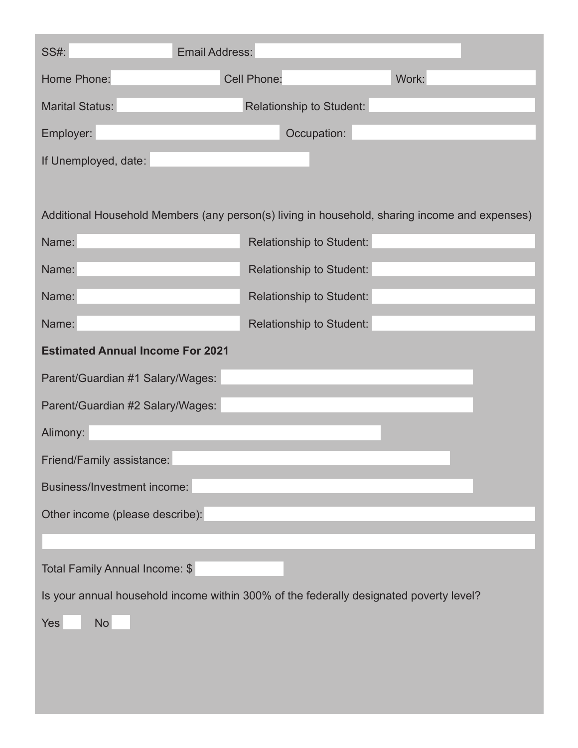| <b>SS#:</b>                                                                                   | <b>Email Address:</b> |                                 |       |  |
|-----------------------------------------------------------------------------------------------|-----------------------|---------------------------------|-------|--|
| Home Phone:                                                                                   | <b>Cell Phone:</b>    |                                 | Work: |  |
| <b>Marital Status:</b>                                                                        |                       | Relationship to Student:        |       |  |
| Employer:                                                                                     |                       | Occupation:                     |       |  |
| If Unemployed, date:                                                                          |                       |                                 |       |  |
|                                                                                               |                       |                                 |       |  |
| Additional Household Members (any person(s) living in household, sharing income and expenses) |                       |                                 |       |  |
| Name:                                                                                         |                       | <b>Relationship to Student:</b> |       |  |
| Name:                                                                                         |                       | Relationship to Student:        |       |  |
| Name:                                                                                         |                       | Relationship to Student:        |       |  |
| Name:                                                                                         |                       | Relationship to Student:        |       |  |
| <b>Estimated Annual Income For 2021</b>                                                       |                       |                                 |       |  |
| Parent/Guardian #1 Salary/Wages:                                                              |                       |                                 |       |  |
| Parent/Guardian #2 Salary/Wages:                                                              |                       |                                 |       |  |
| Alimony:                                                                                      |                       |                                 |       |  |
| Friend/Family assistance:                                                                     |                       |                                 |       |  |
| <b>Business/Investment income:</b>                                                            |                       |                                 |       |  |
| Other income (please describe):                                                               |                       |                                 |       |  |
|                                                                                               |                       |                                 |       |  |
| Total Family Annual Income: \$                                                                |                       |                                 |       |  |
| Is your annual household income within 300% of the federally designated poverty level?        |                       |                                 |       |  |
| <b>No</b><br>Yes                                                                              |                       |                                 |       |  |
|                                                                                               |                       |                                 |       |  |
|                                                                                               |                       |                                 |       |  |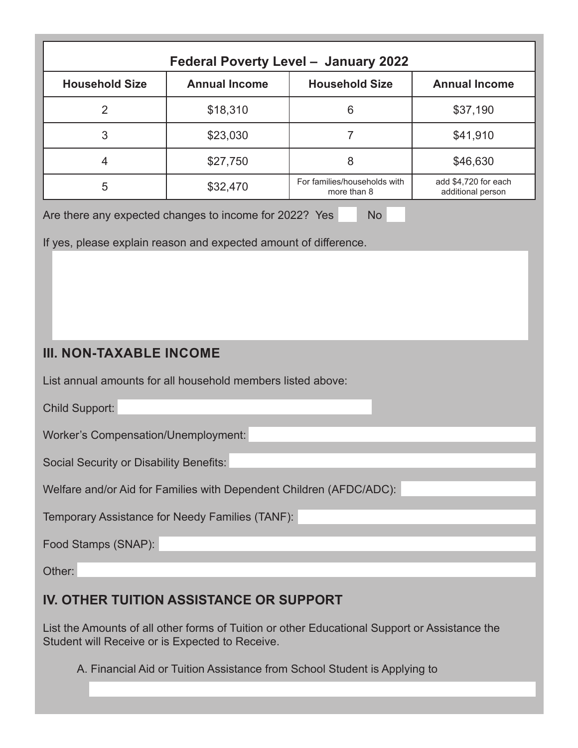| Federal Poverty Level - January 2022                                |                      |                                             |                                           |  |  |
|---------------------------------------------------------------------|----------------------|---------------------------------------------|-------------------------------------------|--|--|
| <b>Household Size</b>                                               | <b>Annual Income</b> | <b>Household Size</b>                       | <b>Annual Income</b>                      |  |  |
| $\overline{2}$                                                      | \$18,310             | 6                                           | \$37,190                                  |  |  |
| 3                                                                   | \$23,030             | $\overline{7}$                              | \$41,910                                  |  |  |
| 4                                                                   | \$27,750             | 8                                           | \$46,630                                  |  |  |
| 5                                                                   | \$32,470             | For families/households with<br>more than 8 | add \$4,720 for each<br>additional person |  |  |
| If yes, please explain reason and expected amount of difference.    |                      |                                             |                                           |  |  |
| <b>III. NON-TAXABLE INCOME</b>                                      |                      |                                             |                                           |  |  |
| List annual amounts for all household members listed above:         |                      |                                             |                                           |  |  |
| <b>Child Support:</b>                                               |                      |                                             |                                           |  |  |
| <b>Worker's Compensation/Unemployment:</b>                          |                      |                                             |                                           |  |  |
| Social Security or Disability Benefits:                             |                      |                                             |                                           |  |  |
| Welfare and/or Aid for Families with Dependent Children (AFDC/ADC): |                      |                                             |                                           |  |  |
| Temporary Assistance for Needy Families (TANF):                     |                      |                                             |                                           |  |  |
| Food Stamps (SNAP):                                                 |                      |                                             |                                           |  |  |
| Other:                                                              |                      |                                             |                                           |  |  |

## **IV. OTHER TUITION ASSISTANCE OR SUPPORT**

List the Amounts of all other forms of Tuition or other Educational Support or Assistance the Student will Receive or is Expected to Receive.

A. Financial Aid or Tuition Assistance from School Student is Applying to